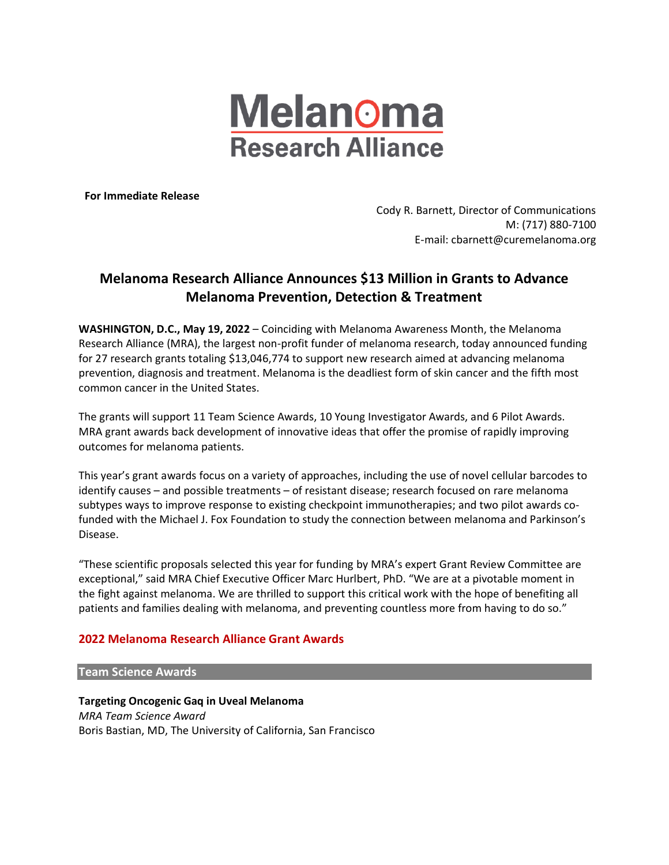

**For Immediate Release**

Cody R. Barnett, Director of Communications M: (717) 880-7100 E-mail: cbarnett@curemelanoma.org

# **Melanoma Research Alliance Announces \$13 Million in Grants to Advance Melanoma Prevention, Detection & Treatment**

**WASHINGTON, D.C., May 19, 2022** – Coinciding with Melanoma Awareness Month, the Melanoma Research Alliance (MRA), the largest non-profit funder of melanoma research, today announced funding for 27 research grants totaling \$13,046,774 to support new research aimed at advancing melanoma prevention, diagnosis and treatment. Melanoma is the deadliest form of skin cancer and the fifth most common cancer in the United States.

The grants will support 11 Team Science Awards, 10 Young Investigator Awards, and 6 Pilot Awards. MRA grant awards back development of innovative ideas that offer the promise of rapidly improving outcomes for melanoma patients.

This year's grant awards focus on a variety of approaches, including the use of novel cellular barcodes to identify causes – and possible treatments – of resistant disease; research focused on rare melanoma subtypes ways to improve response to existing checkpoint immunotherapies; and two pilot awards cofunded with the Michael J. Fox Foundation to study the connection between melanoma and Parkinson's Disease.

"These scientific proposals selected this year for funding by MRA's expert Grant Review Committee are exceptional," said MRA Chief Executive Officer Marc Hurlbert, PhD. "We are at a pivotable moment in the fight against melanoma. We are thrilled to support this critical work with the hope of benefiting all patients and families dealing with melanoma, and preventing countless more from having to do so."

# **2022 Melanoma Research Alliance Grant Awards**

#### **Team Science Awards**

**Targeting Oncogenic Gaq in Uveal Melanoma** *MRA Team Science Award* Boris Bastian, MD, The University of California, San Francisco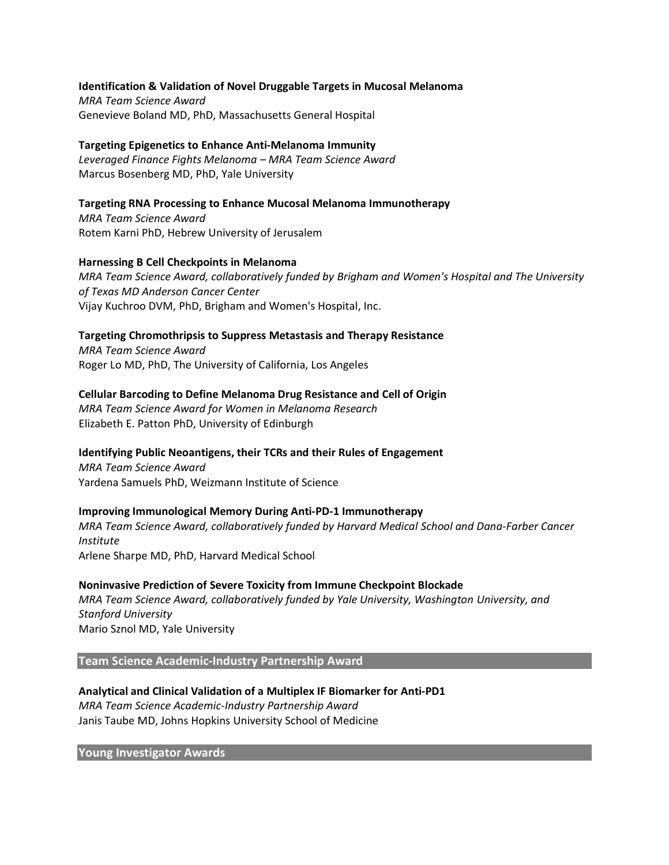#### **Identification & Validation of Novel Druggable Targets in Mucosal Melanoma**

*MRA Team Science Award* Genevieve Boland MD, PhD, Massachusetts General Hospital

# **Targeting Epigenetics to Enhance Anti-Melanoma Immunity**

*Leveraged Finance Fights Melanoma – MRA Team Science Award* Marcus Bosenberg MD, PhD, Yale University

# **Targeting RNA Processing to Enhance Mucosal Melanoma Immunotherapy**

*MRA Team Science Award* Rotem Karni PhD, Hebrew University of Jerusalem

## **Harnessing B Cell Checkpoints in Melanoma**

*MRA Team Science Award, collaboratively funded by Brigham and Women's Hospital and The University of Texas MD Anderson Cancer Center* Vijay Kuchroo DVM, PhD, Brigham and Women's Hospital, Inc.

## **Targeting Chromothripsis to Suppress Metastasis and Therapy Resistance**

*MRA Team Science Award* Roger Lo MD, PhD, The University of California, Los Angeles

## **Cellular Barcoding to Define Melanoma Drug Resistance and Cell of Origin**

*MRA Team Science Award for Women in Melanoma Research* Elizabeth E. Patton PhD, University of Edinburgh

# **Identifying Public Neoantigens, their TCRs and their Rules of Engagement**

*MRA Team Science Award* Yardena Samuels PhD, Weizmann Institute of Science

#### **Improving Immunological Memory During Anti-PD-1 Immunotherapy**

*MRA Team Science Award, collaboratively funded by Harvard Medical School and Dana-Farber Cancer Institute* Arlene Sharpe MD, PhD, Harvard Medical School

#### **Noninvasive Prediction of Severe Toxicity from Immune Checkpoint Blockade**

*MRA Team Science Award, collaboratively funded by Yale University, Washington University, and Stanford University* Mario Sznol MD, Yale University

#### **Team Science Academic-Industry Partnership Award**

**Analytical and Clinical Validation of a Multiplex IF Biomarker for Anti-PD1** *MRA Team Science Academic-Industry Partnership Award* Janis Taube MD, Johns Hopkins University School of Medicine

**Young Investigator Awards**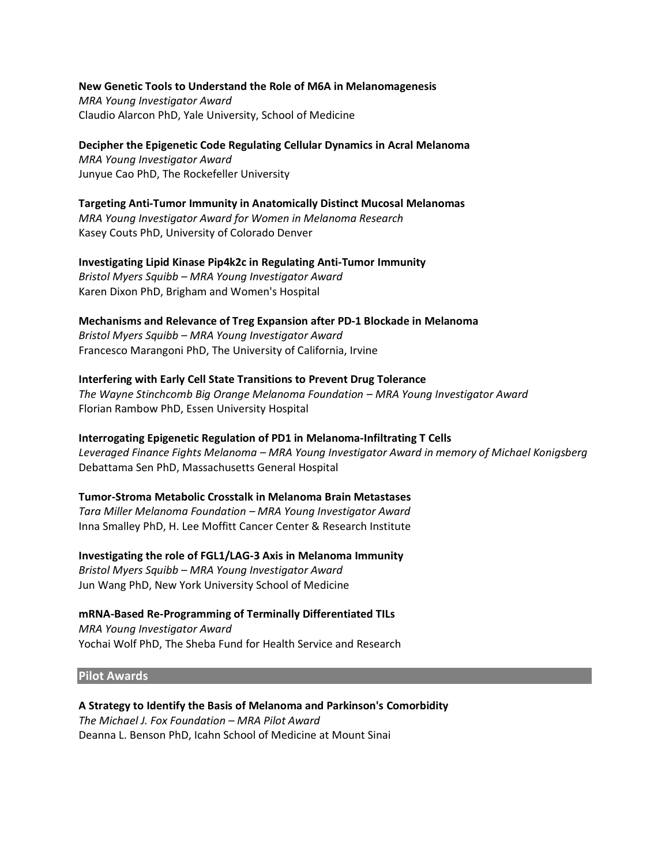**New Genetic Tools to Understand the Role of M6A in Melanomagenesis** *MRA Young Investigator Award* Claudio Alarcon PhD, Yale University, School of Medicine

**Decipher the Epigenetic Code Regulating Cellular Dynamics in Acral Melanoma** *MRA Young Investigator Award* Junyue Cao PhD, The Rockefeller University

**Targeting Anti-Tumor Immunity in Anatomically Distinct Mucosal Melanomas** *MRA Young Investigator Award for Women in Melanoma Research* Kasey Couts PhD, University of Colorado Denver

**Investigating Lipid Kinase Pip4k2c in Regulating Anti-Tumor Immunity** *Bristol Myers Squibb – MRA Young Investigator Award* Karen Dixon PhD, Brigham and Women's Hospital

**Mechanisms and Relevance of Treg Expansion after PD-1 Blockade in Melanoma** *Bristol Myers Squibb – MRA Young Investigator Award* Francesco Marangoni PhD, The University of California, Irvine

**Interfering with Early Cell State Transitions to Prevent Drug Tolerance** *The Wayne Stinchcomb Big Orange Melanoma Foundation – MRA Young Investigator Award* Florian Rambow PhD, Essen University Hospital

**Interrogating Epigenetic Regulation of PD1 in Melanoma-Infiltrating T Cells** *Leveraged Finance Fights Melanoma – MRA Young Investigator Award in memory of Michael Konigsberg* Debattama Sen PhD, Massachusetts General Hospital

**Tumor-Stroma Metabolic Crosstalk in Melanoma Brain Metastases** *Tara Miller Melanoma Foundation – MRA Young Investigator Award* Inna Smalley PhD, H. Lee Moffitt Cancer Center & Research Institute

**Investigating the role of FGL1/LAG-3 Axis in Melanoma Immunity** *Bristol Myers Squibb – MRA Young Investigator Award*

Jun Wang PhD, New York University School of Medicine

**mRNA-Based Re-Programming of Terminally Differentiated TILs**

*MRA Young Investigator Award* Yochai Wolf PhD, The Sheba Fund for Health Service and Research

#### **Pilot Awards**

**A Strategy to Identify the Basis of Melanoma and Parkinson's Comorbidity** *The Michael J. Fox Foundation – MRA Pilot Award* Deanna L. Benson PhD, Icahn School of Medicine at Mount Sinai